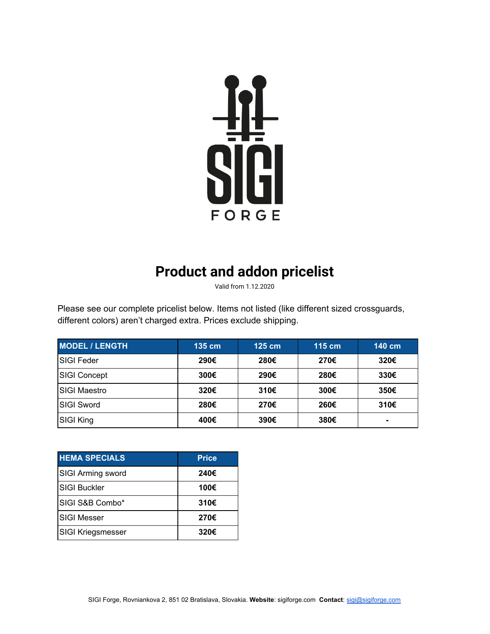

## **Product and addon pricelist**

Valid from 1.12.2020

Please see our complete pricelist below. Items not listed (like different sized crossguards, different colors) aren't charged extra. Prices exclude shipping.

| <b>MODEL / LENGTH</b> | $135$ cm | $125$ cm | $115 \text{ cm}$ | 140 cm         |
|-----------------------|----------|----------|------------------|----------------|
| <b>SIGI Feder</b>     | 290€     | 280€     | 270€             | 320€           |
| <b>SIGI Concept</b>   | 300€     | 290€     | 280€             | 330€           |
| <b>SIGI Maestro</b>   | 320€     | 310€     | 300€             | 350€           |
| <b>SIGI Sword</b>     | 280€     | 270€     | 260€             | 310€           |
| SIGI King             | 400€     | 390€     | 380€             | $\blacksquare$ |

| <b>HEMA SPECIALS</b>     | <b>Price</b> |
|--------------------------|--------------|
| <b>SIGI Arming sword</b> | 240€         |
| <b>SIGI Buckler</b>      | 100€         |
| SIGI S&B Combo*          | 310€         |
| <b>SIGI Messer</b>       | 270€         |
| <b>SIGI Kriegsmesser</b> | 320€         |